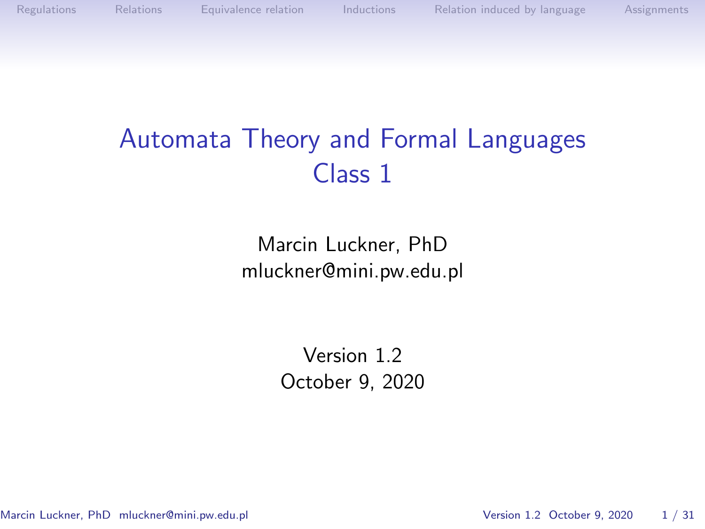

[Regulations](#page-1-0) [Relations](#page-3-0) [Equivalence relation](#page-7-0) [Inductions](#page-14-0) [Relation induced by language](#page-18-0) [Assignments](#page-28-0)

# Automata Theory and Formal Languages Class 1

Marcin Luckner, PhD mluckner@mini.pw.edu.pl

> Version 1.2 October 9, 2020

Marcin Luckner, PhD mluckner@mini.pw.edu.pl Version 1.2 October 9, 2020 1/31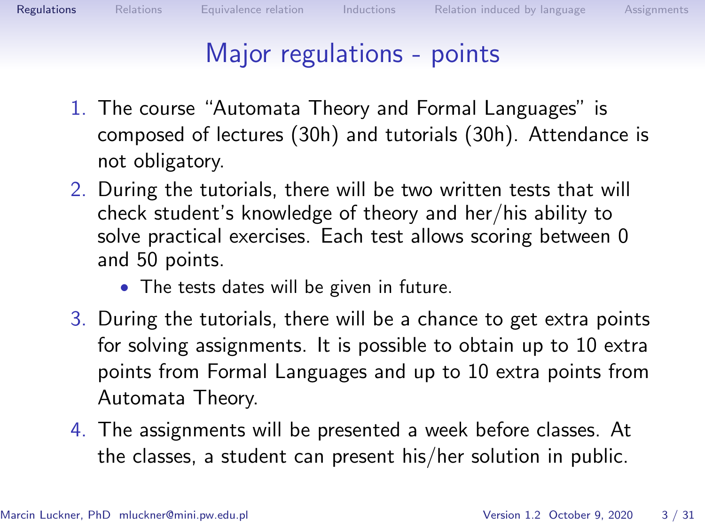<span id="page-1-0"></span>

# Major regulations - points

- 1. The course "Automata Theory and Formal Languages" is composed of lectures (30h) and tutorials (30h). Attendance is not obligatory.
- 2. During the tutorials, there will be two written tests that will check student's knowledge of theory and her/his ability to solve practical exercises. Each test allows scoring between 0 and 50 points.
	- The tests dates will be given in future.
- 3. During the tutorials, there will be a chance to get extra points for solving assignments. It is possible to obtain up to 10 extra points from Formal Languages and up to 10 extra points from Automata Theory.
- 4. The assignments will be presented a week before classes. At the classes, a student can present his/her solution in public.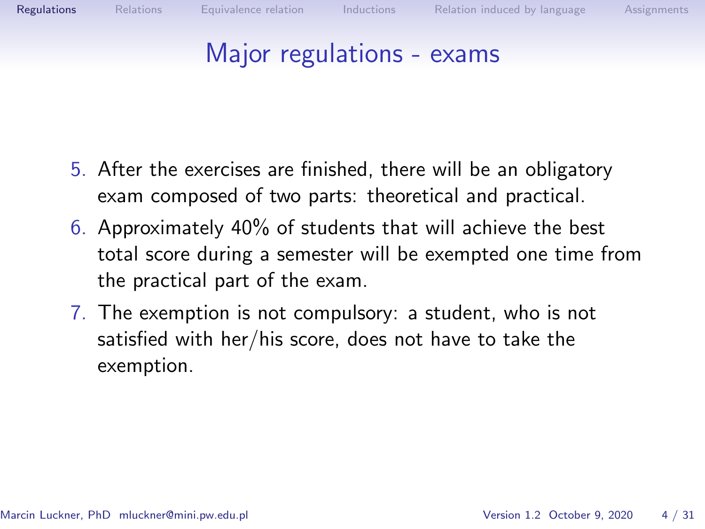#### Major regulations - exams

- 5. After the exercises are finished, there will be an obligatory exam composed of two parts: theoretical and practical.
- 6. Approximately 40% of students that will achieve the best total score during a semester will be exempted one time from the practical part of the exam.
- 7. The exemption is not compulsory: a student, who is not satisfied with her/his score, does not have to take the exemption.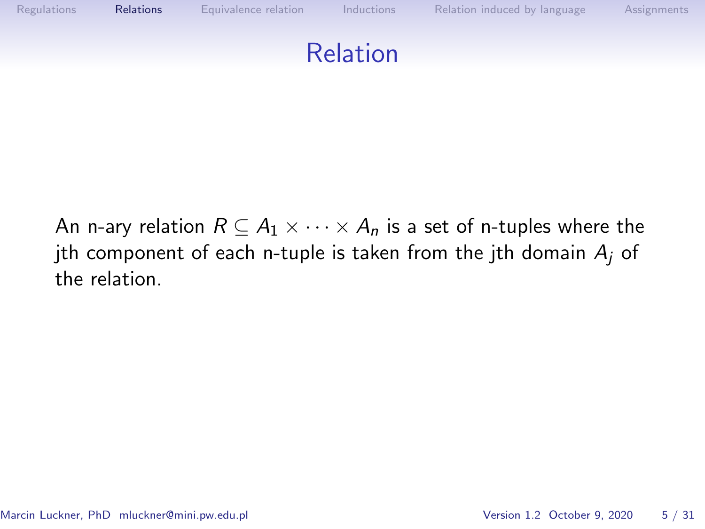<span id="page-3-0"></span>

An n-ary relation  $R \subseteq A_1 \times \cdots \times A_n$  is a set of n-tuples where the jth component of each n-tuple is taken from the jth domain  $A_i$  of the relation.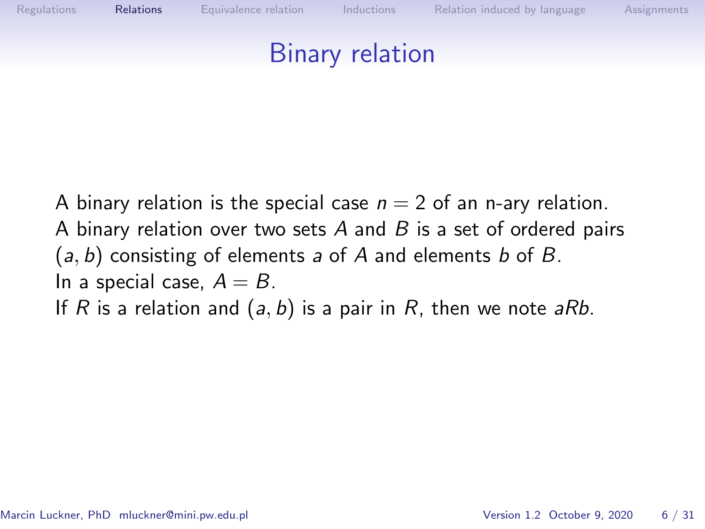

A binary relation is the special case  $n = 2$  of an n-ary relation. A binary relation over two sets  $A$  and  $B$  is a set of ordered pairs  $(a, b)$  consisting of elements a of A and elements b of B. In a special case,  $A = B$ . If R is a relation and  $(a, b)$  is a pair in R, then we note aRb.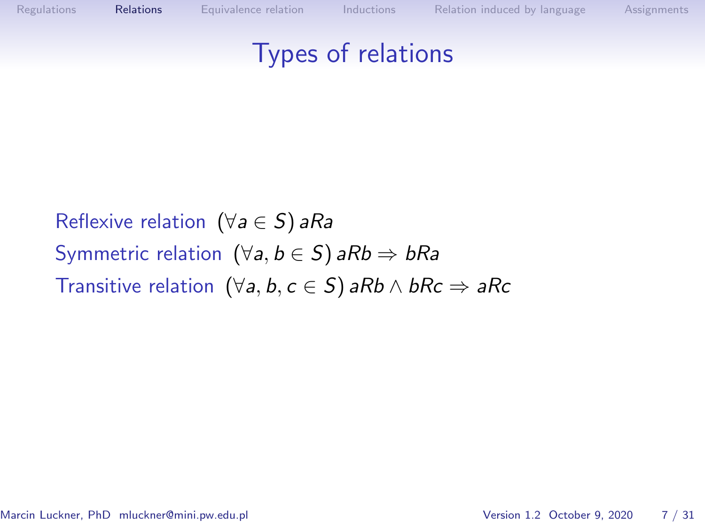

# Reflexive relation ( $\forall a \in S$ ) aRa Symmetric relation  $(\forall a, b \in S)$  aRb  $\Rightarrow$  bRa Transitive relation  $(\forall a, b, c \in S)$  aRb  $\land$  bRc  $\Rightarrow$  aRc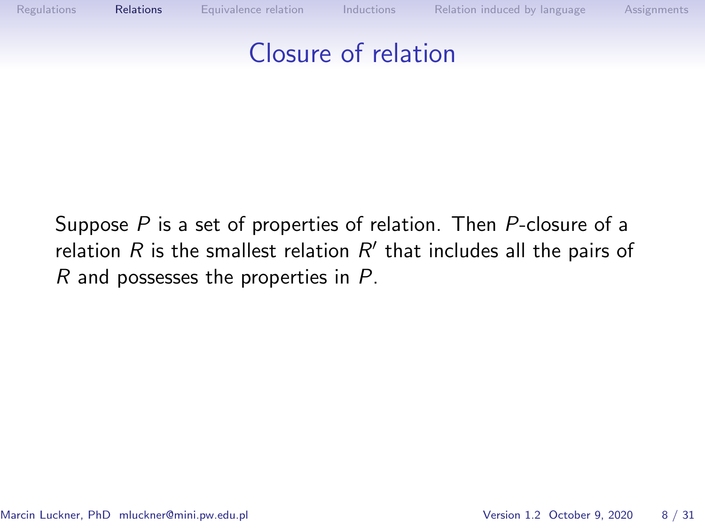

Suppose P is a set of properties of relation. Then P-closure of a relation  $R$  is the smallest relation  $R'$  that includes all the pairs of R and possesses the properties in P.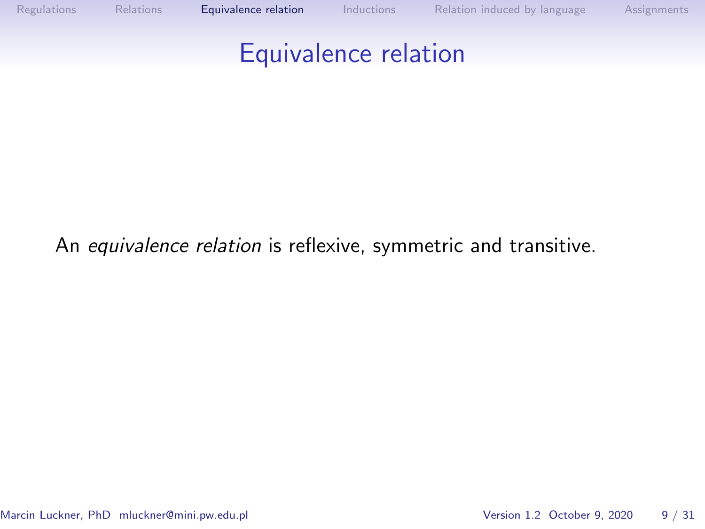<span id="page-7-0"></span>

#### An equivalence relation is reflexive, symmetric and transitive.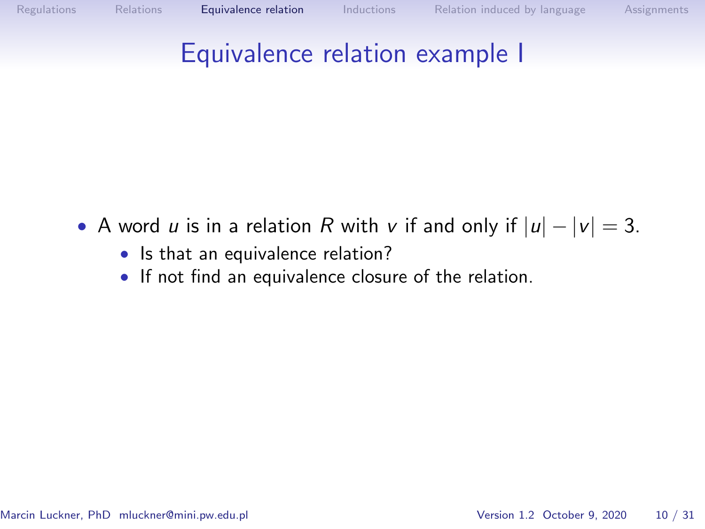

### Equivalence relation example I

- A word u is in a relation R with v if and only if  $|u| |v| = 3$ .
	- Is that an equivalence relation?
	- If not find an equivalence closure of the relation.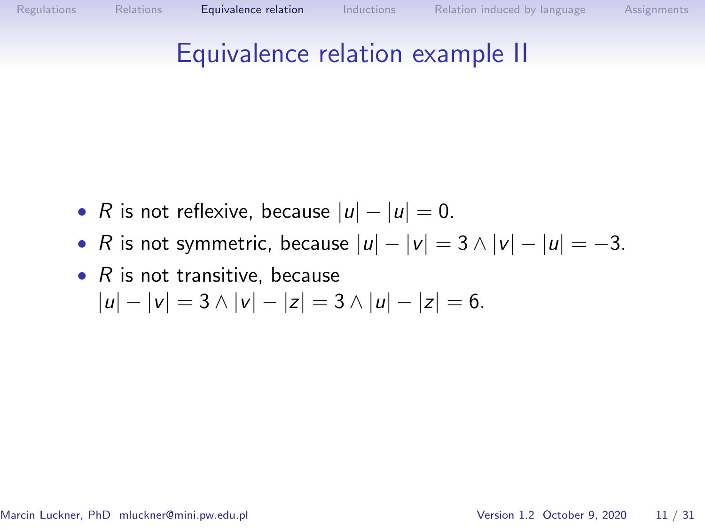### Equivalence relation example II

- R is not reflexive, because  $|u| |u| = 0$ .
- R is not symmetric, because  $|u| |v| = 3 \wedge |v| |u| = -3$ .
- $R$  is not transitive, because  $|u| - |v| = 3 \wedge |v| - |z| = 3 \wedge |u| - |z| = 6.$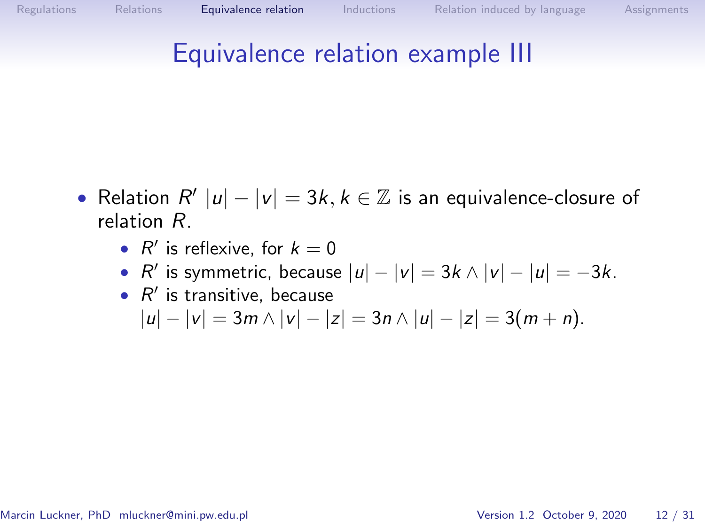### Equivalence relation example III

- Relation  $R' |u| |v| = 3k, k \in \mathbb{Z}$  is an equivalence-closure of relation R.
	- $R'$  is reflexive, for  $k = 0$
	- $R'$  is symmetric, because  $|u| |v| = 3k \wedge |v| |u| = -3k$ .
	- $\bullet$   $R'$  is transitive, because  $|u| - |v| = 3m \wedge |v| - |z| = 3n \wedge |u| - |z| = 3(m + n).$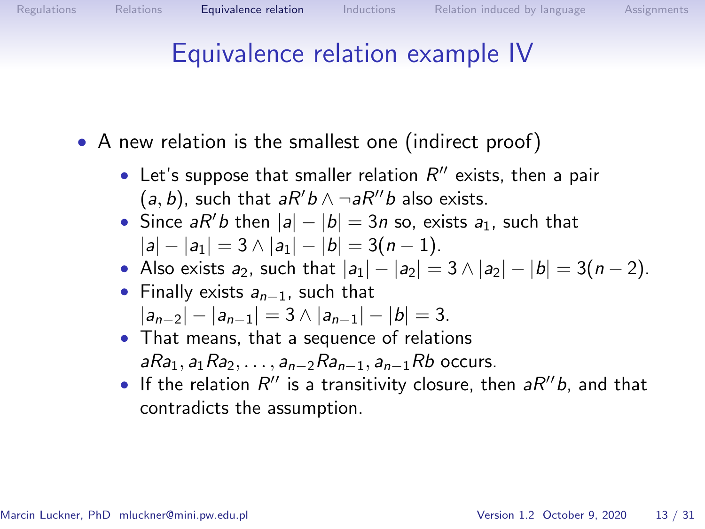### Equivalence relation example IV

- A new relation is the smallest one (indirect proof)
	- Let's suppose that smaller relation  $R''$  exists, then a pair  $(a, b)$ , such that  $aR'b \wedge \neg aR''b$  also exists.
	- Since  $aR'b$  then  $|a| |b| = 3n$  so, exists  $a_1$ , such that  $|a| - |a_1| = 3 \wedge |a_1| - |b| = 3(n-1).$
	- Also exists  $a_2$ , such that  $|a_1| |a_2| = 3 \wedge |a_2| |b| = 3(n-2)$ .
	- Finally exists  $a_{n-1}$ , such that  $|a_{n-2}| - |a_{n-1}| = 3 \wedge |a_{n-1}| - |b| = 3.$
	- That means, that a sequence of relations aRa<sub>1</sub>, a<sub>1</sub>Ra<sub>2</sub>, . . . , a<sub>n−2</sub>Ra<sub>n−1</sub>, a<sub>n−1</sub>Rb occurs.
	- If the relation  $R''$  is a transitivity closure, then  $aR''b$ , and that contradicts the assumption.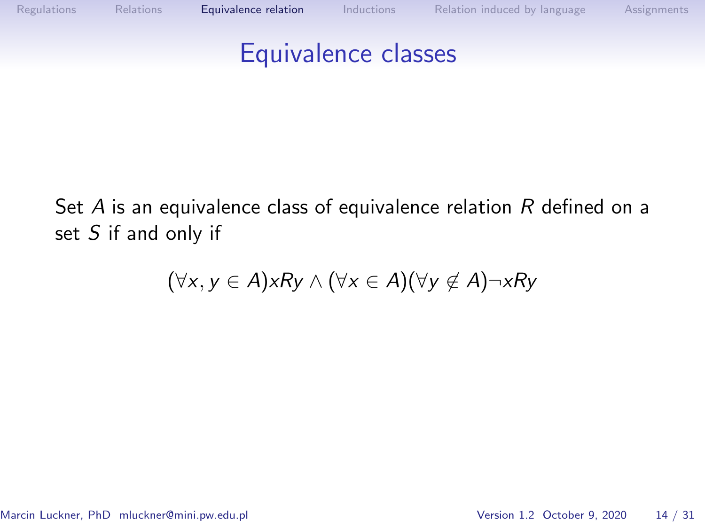

Set  $A$  is an equivalence class of equivalence relation  $R$  defined on a set S if and only if

$$
(\forall x, y \in A) x R y \land (\forall x \in A) (\forall y \notin A) \neg x R y
$$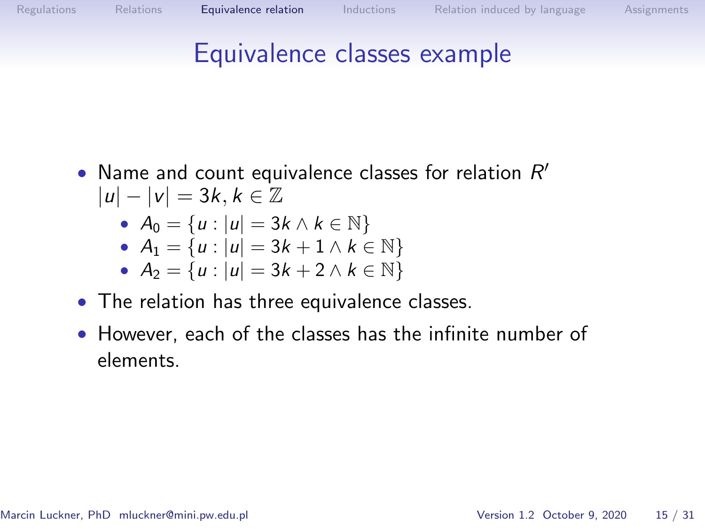### Equivalence classes example

- Name and count equivalence classes for relation  $R'$  $|u| - |v| = 3k, k \in \mathbb{Z}$ 
	- $A_0 = \{u : |u| = 3k \wedge k \in \mathbb{N}\}\$

• 
$$
A_1 = \{u : |u| = 3k + 1 \land k \in \mathbb{N}\}\
$$

• 
$$
A_2 = \{u : |u| = 3k + 2 \land k \in \mathbb{N}\}
$$

- The relation has three equivalence classes.
- However, each of the classes has the infinite number of elements.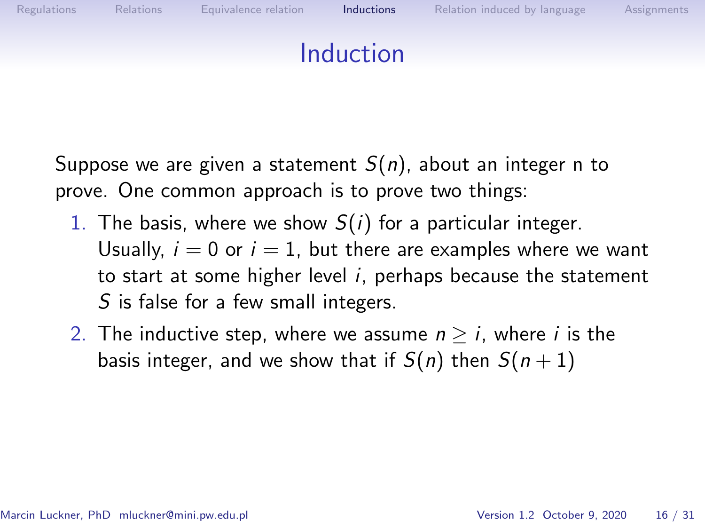<span id="page-14-0"></span>

Suppose we are given a statement  $S(n)$ , about an integer n to prove. One common approach is to prove two things:

- 1. The basis, where we show  $S(i)$  for a particular integer. Usually,  $i = 0$  or  $i = 1$ , but there are examples where we want to start at some higher level  $i$ , perhaps because the statement S is false for a few small integers.
- 2. The inductive step, where we assume  $n \geq i$ , where i is the basis integer, and we show that if  $S(n)$  then  $S(n+1)$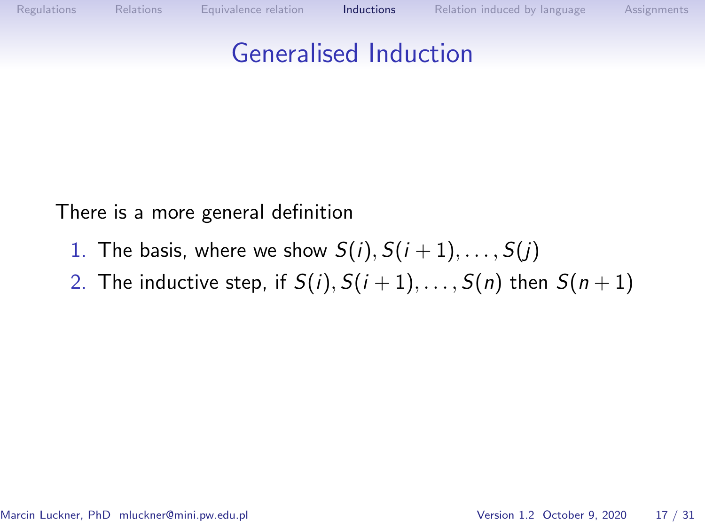## Generalised Induction

There is a more general definition

- 1. The basis, where we show  $S(i)$ ,  $S(i + 1)$ , ...,  $S(j)$
- 2. The inductive step, if  $S(i)$ ,  $S(i + 1)$ , ...,  $S(n)$  then  $S(n + 1)$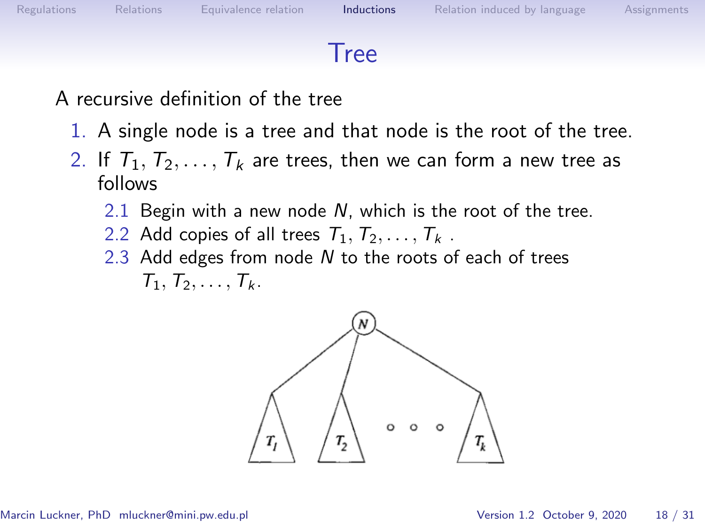#### Tree

A recursive definition of the tree

- 1. A single node is a tree and that node is the root of the tree.
- 2. If  $T_1, T_2, \ldots, T_k$  are trees, then we can form a new tree as follows
	- 2.1 Begin with a new node  $N$ , which is the root of the tree.
	- 2.2 Add copies of all trees  $T_1, T_2, \ldots, T_k$ .
	- 2.3 Add edges from node N to the roots of each of trees  $T_1, T_2, \ldots, T_k$ .

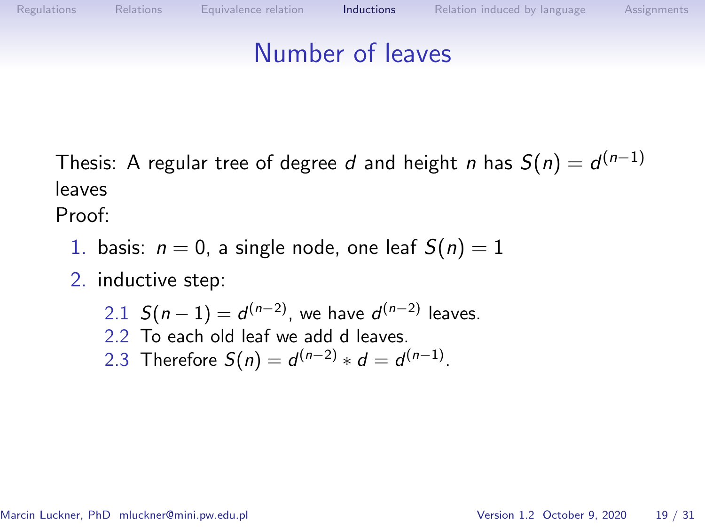#### Number of leaves

Thesis: A regular tree of degree  $d$  and height  $n$  has  $\mathcal{S}(n)=d^{(n-1)}$ leaves

Proof:

- 1. basis:  $n = 0$ , a single node, one leaf  $S(n) = 1$
- 2. inductive step:
	- 2.1  $S(n-1) = d^{(n-2)}$ , we have  $d^{(n-2)}$  leaves. 2.2 To each old leaf we add d leaves. 2.3 Therefore  $S(n) = d^{(n-2)} * d = d^{(n-1)}$ .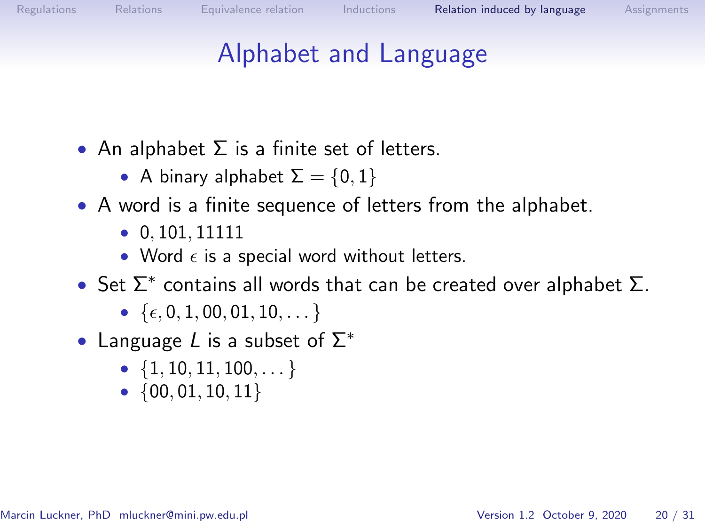### Alphabet and Language

- <span id="page-18-0"></span>• An alphabet  $\Sigma$  is a finite set of letters.
	- A binary alphabet  $\Sigma = \{0, 1\}$
- A word is a finite sequence of letters from the alphabet.
	- $\bullet$  0, 101, 11111
	- Word  $\epsilon$  is a special word without letters.
- Set  $\Sigma^*$  contains all words that can be created over alphabet  $\Sigma$ .
	- $\{\epsilon, 0, 1, 00, 01, 10, \dots\}$
- Language L is a subset of  $\Sigma^*$ 
	- $\{1, 10, 11, 100, \dots\}$
	- $\{00, 01, 10, 11\}$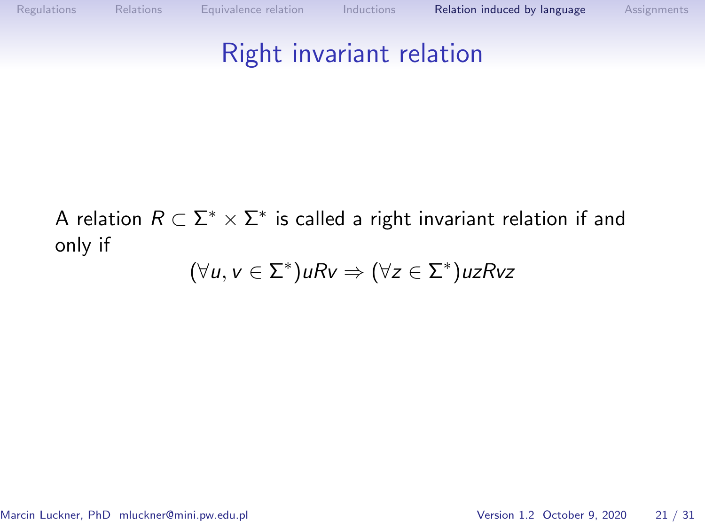### Right invariant relation

A relation  $R \subset \Sigma^* \times \Sigma^*$  is called a right invariant relation if and only if

$$
(\forall u, v \in \Sigma^*) u R v \Rightarrow (\forall z \in \Sigma^*) u z R v z
$$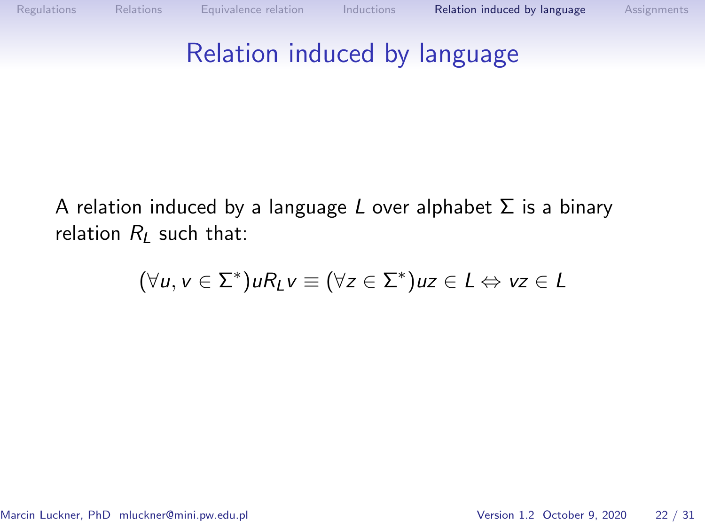

A relation induced by a language L over alphabet  $\Sigma$  is a binary relation  $R_I$  such that:

$$
(\forall u, v \in \Sigma^*) u R_L v \equiv (\forall z \in \Sigma^*) u z \in L \Leftrightarrow vz \in L
$$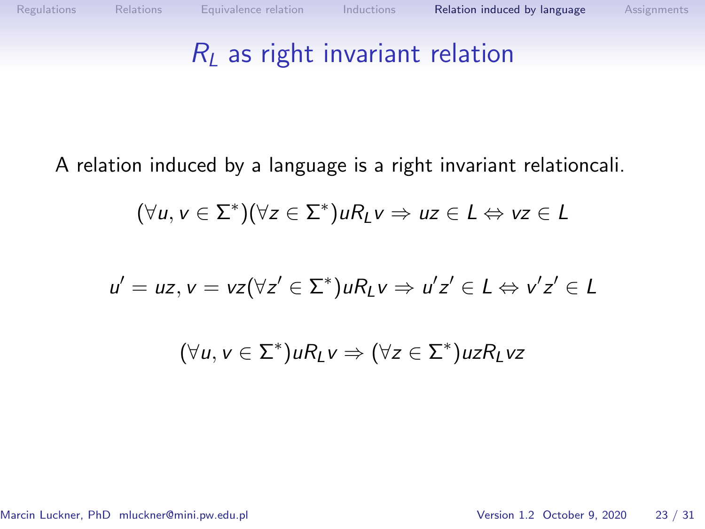### $R_L$  as right invariant relation

A relation induced by a language is a right invariant relationcali.

$$
(\forall u, v \in \Sigma^*)(\forall z \in \Sigma^*) u R_L v \Rightarrow uz \in L \Leftrightarrow vz \in L
$$

$$
u' = uz, v = vz(\forall z' \in \Sigma^*) u R_L v \Rightarrow u' z' \in L \Leftrightarrow v' z' \in L
$$

$$
(\forall u, v \in \Sigma^*) u R_L v \Rightarrow (\forall z \in \Sigma^*) u z R_L v z
$$

Marcin Luckner, PhD mluckner@mini.pw.edu.pl Version 1.2 October 9, 2020 23 / 31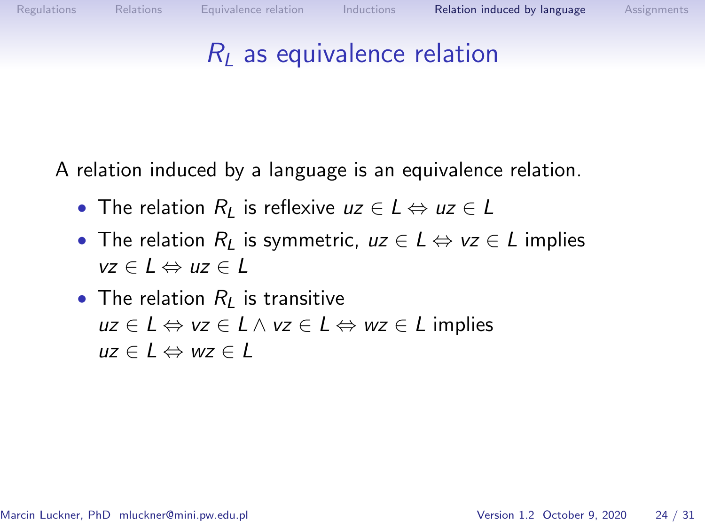

#### $R<sub>l</sub>$  as equivalence relation

A relation induced by a language is an equivalence relation.

- The relation  $R_L$  is reflexive  $uz \in L \Leftrightarrow uz \in L$
- The relation  $R_L$  is symmetric,  $uz \in L \Leftrightarrow vz \in L$  implies  $vz \in I \Leftrightarrow uz \in I$
- The relation  $R<sub>L</sub>$  is transitive  $uz \in L \Leftrightarrow vz \in L \wedge vz \in L \Leftrightarrow wz \in L$  implies  $uz \in L \Leftrightarrow wz \in L$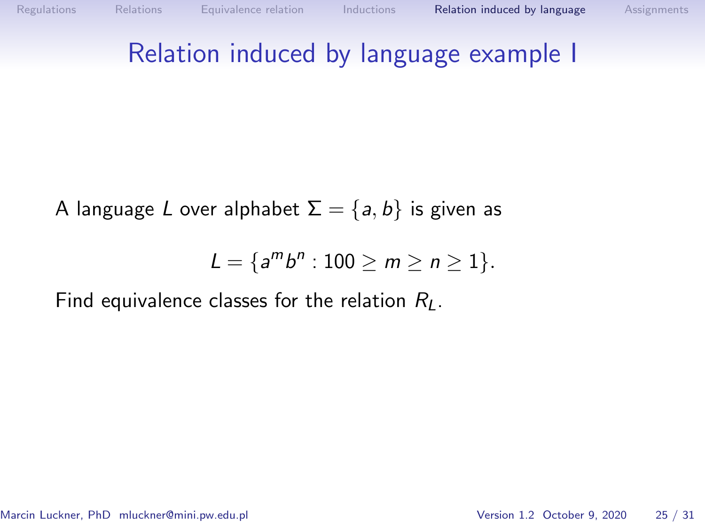### Relation induced by language example I

A language L over alphabet  $\Sigma = \{a, b\}$  is given as

$$
L = \{a^m b^n : 100 \ge m \ge n \ge 1\}.
$$

Find equivalence classes for the relation  $R_L$ .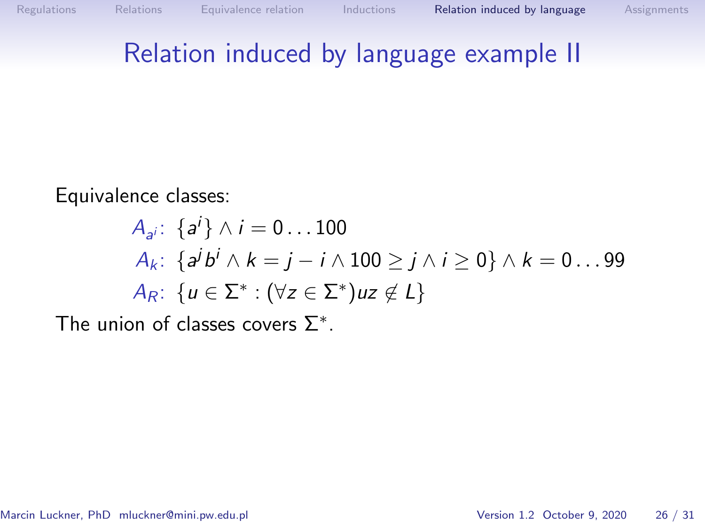### Relation induced by language example II

Equivalence classes:

$$
A_{a^i}: \{a^i\} \wedge i = 0 \dots 100
$$
  
\n
$$
A_k: \{a^j b^i \wedge k = j - i \wedge 100 \ge j \wedge i \ge 0\} \wedge k = 0 \dots 99
$$
  
\n
$$
A_R: \{u \in \Sigma^* : (\forall z \in \Sigma^*) u z \notin L\}
$$

The union of classes covers  $\Sigma^*$ .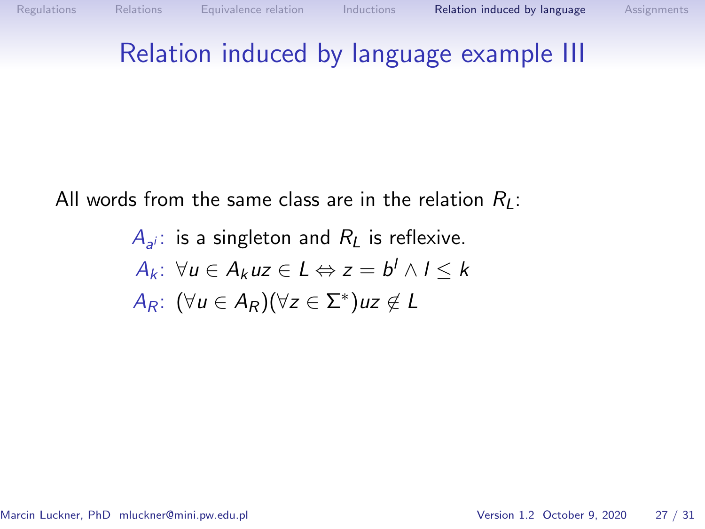### Relation induced by language example III

All words from the same class are in the relation  $R_1$ :

$$
A_{a^i}: \text{ is a singleton and } R_L \text{ is reflexive.}
$$
  
\n
$$
A_k: \forall u \in A_k u z \in L \Leftrightarrow z = b^l \wedge l \le k
$$
  
\n
$$
A_R: (\forall u \in A_R)(\forall z \in \Sigma^*) u z \notin L
$$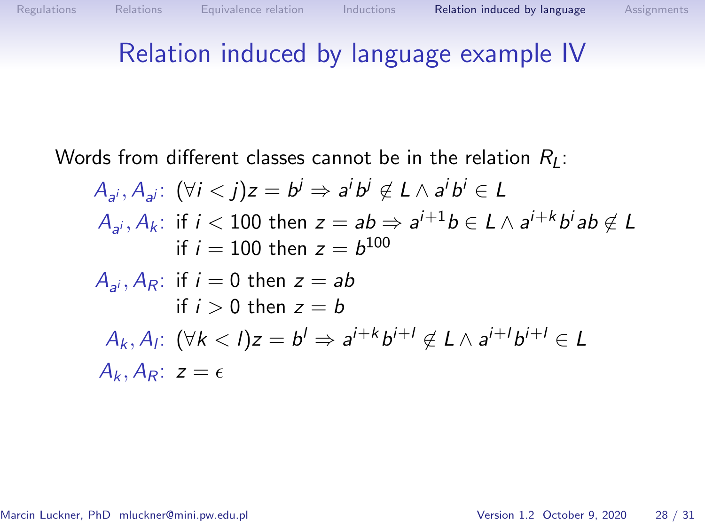### Relation induced by language example IV

Words from different classes cannot be in the relation  $R_L$ :

$$
A_{a^i}, A_{a^j}: (\forall i < j)z = b^j \Rightarrow a^i b^j \notin L \land a^i b^i \in L
$$
  
\n
$$
A_{a^i}, A_k: \text{ if } i < 100 \text{ then } z = ab \Rightarrow a^{i+1} b \in L \land a^{i+k} b^i ab \notin L
$$
  
\nif  $i = 100$  then  $z = b^{100}$   
\n
$$
A_{a^i}, A_R: \text{ if } i = 0 \text{ then } z = ab
$$
  
\nif  $i > 0$  then  $z = b$   
\n
$$
A_k, A_l: (\forall k < l)z = b^l \Rightarrow a^{i+k} b^{i+l} \notin L \land a^{i+l} b^{i+l} \in L
$$
  
\n
$$
A_k, A_R: z = \epsilon
$$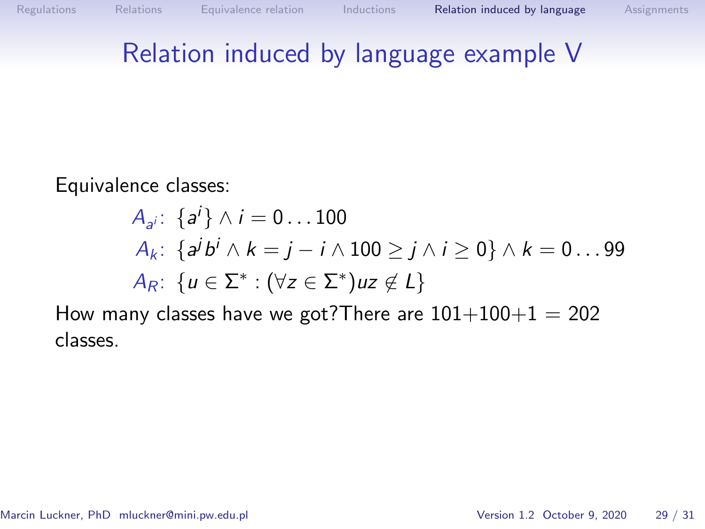### Relation induced by language example V

Equivalence classes:

$$
A_{a^i}: \{a^i\} \wedge i = 0 \dots 100
$$
  
\n
$$
A_k: \{a^j b^i \wedge k = j - i \wedge 100 \ge j \wedge i \ge 0\} \wedge k = 0 \dots 99
$$
  
\n
$$
A_R: \{u \in \Sigma^* : (\forall z \in \Sigma^*) u z \notin L\}
$$

How many classes have we got? There are  $101+100+1 = 202$ classes.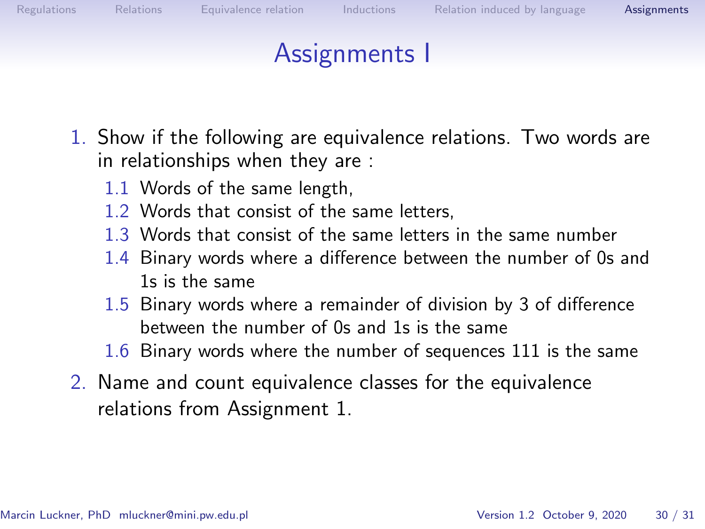<span id="page-28-0"></span>

- <span id="page-28-1"></span>1. Show if the following are equivalence relations. Two words are in relationships when they are :
	- 1.1 Words of the same length,
	- 1.2 Words that consist of the same letters,
	- 1.3 Words that consist of the same letters in the same number
	- 1.4 Binary words where a difference between the number of 0s and 1s is the same
	- 1.5 Binary words where a remainder of division by 3 of difference between the number of 0s and 1s is the same
	- 1.6 Binary words where the number of sequences 111 is the same
- 2. Name and count equivalence classes for the equivalence relations from Assignment [1.](#page-28-1)